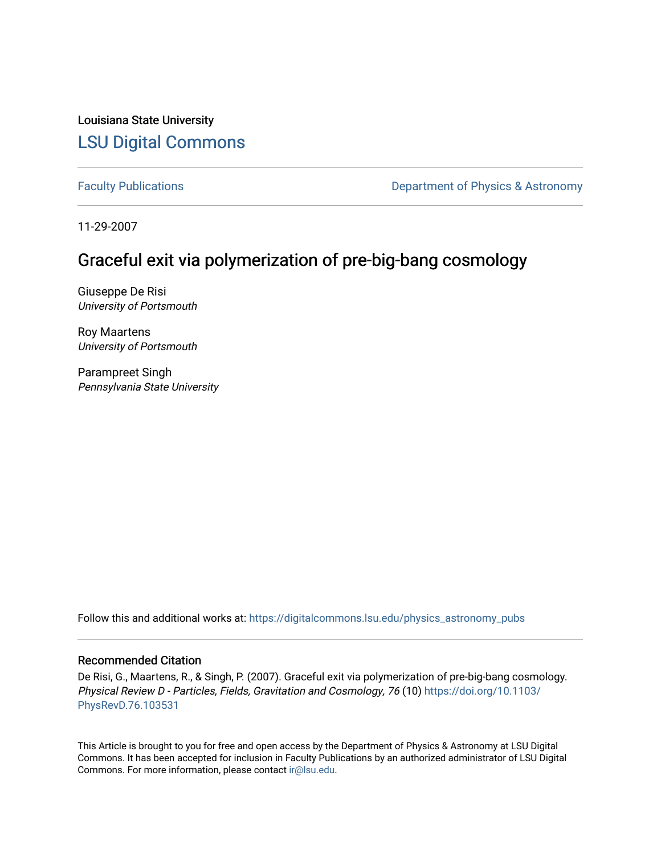Louisiana State University [LSU Digital Commons](https://digitalcommons.lsu.edu/)

[Faculty Publications](https://digitalcommons.lsu.edu/physics_astronomy_pubs) **Exercise 2 and Table 2 and Table 2 and Table 2 and Table 2 and Table 2 and Table 2 and Table 2 and Table 2 and Table 2 and Table 2 and Table 2 and Table 2 and Table 2 and Table 2 and Table 2 and Table** 

11-29-2007

# Graceful exit via polymerization of pre-big-bang cosmology

Giuseppe De Risi University of Portsmouth

Roy Maartens University of Portsmouth

Parampreet Singh Pennsylvania State University

Follow this and additional works at: [https://digitalcommons.lsu.edu/physics\\_astronomy\\_pubs](https://digitalcommons.lsu.edu/physics_astronomy_pubs?utm_source=digitalcommons.lsu.edu%2Fphysics_astronomy_pubs%2F5080&utm_medium=PDF&utm_campaign=PDFCoverPages) 

# Recommended Citation

De Risi, G., Maartens, R., & Singh, P. (2007). Graceful exit via polymerization of pre-big-bang cosmology. Physical Review D - Particles, Fields, Gravitation and Cosmology, 76 (10) [https://doi.org/10.1103/](https://doi.org/10.1103/PhysRevD.76.103531) [PhysRevD.76.103531](https://doi.org/10.1103/PhysRevD.76.103531)

This Article is brought to you for free and open access by the Department of Physics & Astronomy at LSU Digital Commons. It has been accepted for inclusion in Faculty Publications by an authorized administrator of LSU Digital Commons. For more information, please contact [ir@lsu.edu](mailto:ir@lsu.edu).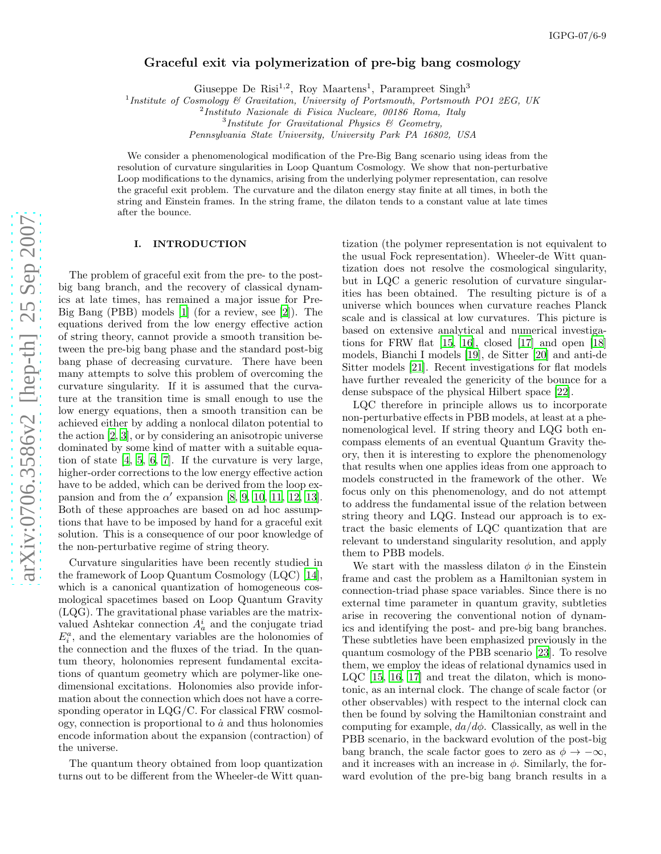# Graceful exit via polymerization of pre-big bang cosmology

Giuseppe De Risi<sup>1,2</sup>, Roy Maartens<sup>1</sup>, Parampreet Singh<sup>3</sup>

<sup>1</sup>Institute of Cosmology & Gravitation, University of Portsmouth, Portsmouth PO1 2EG, UK

 $^{2}$ Instituto Nazionale di Fisica Nucleare, 00186 Roma, Italy

 ${}^{3}$ Institute for Gravitational Physics & Geometry,

Pennsylvania State University, University Park PA 16802, USA

We consider a phenomenological modification of the Pre-Big Bang scenario using ideas from the resolution of curvature singularities in Loop Quantum Cosmology. We show that non-perturbative Loop modifications to the dynamics, arising from the underlying polymer representation, can resolve the graceful exit problem. The curvature and the dilaton energy stay finite at all times, in both the string and Einstein frames. In the string frame, the dilaton tends to a constant value at late times after the bounce.

#### I. INTRODUCTION

The problem of graceful exit from the pre- to the postbig bang branch, and the recovery of classical dynamics at late times, has remained a major issue for Pre-Big Bang (PBB) models [\[1](#page-7-0)] (for a review, see [\[2\]](#page-7-1)). The equations derived from the low energy effective action of string theory, cannot provide a smooth transition between the pre-big bang phase and the standard post-big bang phase of decreasing curvature. There have been many attempts to solve this problem of overcoming the curvature singularity. If it is assumed that the curvature at the transition time is small enough to use the low energy equations, then a smooth transition can be achieved either by adding a nonlocal dilaton potential to the action [\[2,](#page-7-1) [3](#page-7-2)], or by considering an anisotropic universe dominated by some kind of matter with a suitable equation of state [\[4](#page-7-3), [5](#page-7-4), [6,](#page-7-5) [7\]](#page-7-6). If the curvature is very large, higher-order corrections to the low energy effective action have to be added, which can be derived from the loop expansion and from the  $\alpha'$  expansion [\[8,](#page-7-7) [9,](#page-7-8) [10](#page-7-9), [11](#page-7-10), [12,](#page-7-11) [13\]](#page-7-12). Both of these approaches are based on ad hoc assumptions that have to be imposed by hand for a graceful exit solution. This is a consequence of our poor knowledge of the non-perturbative regime of string theory.

Curvature singularities have been recently studied in the framework of Loop Quantum Cosmology (LQC) [\[14\]](#page-7-13), which is a canonical quantization of homogeneous cosmological spacetimes based on Loop Quantum Gravity (LQG). The gravitational phase variables are the matrixvalued Ashtekar connection  $A_a^i$  and the conjugate triad  $E_i^a$ , and the elementary variables are the holonomies of the connection and the fluxes of the triad. In the quantum theory, holonomies represent fundamental excitations of quantum geometry which are polymer-like onedimensional excitations. Holonomies also provide information about the connection which does not have a corresponding operator in LQG/C. For classical FRW cosmology, connection is proportional to  $\dot{a}$  and thus holonomies encode information about the expansion (contraction) of the universe.

The quantum theory obtained from loop quantization turns out to be different from the Wheeler-de Witt quan-

tization (the polymer representation is not equivalent to the usual Fock representation). Wheeler-de Witt quantization does not resolve the cosmological singularity, but in LQC a generic resolution of curvature singularities has been obtained. The resulting picture is of a universe which bounces when curvature reaches Planck scale and is classical at low curvatures. This picture is based on extensive analytical and numerical investigations for FRW flat  $[15, 16]$  $[15, 16]$ , closed  $[17]$  and open  $[18]$ models, Bianchi I models [\[19](#page-7-18)], de Sitter [\[20](#page-7-19)] and anti-de Sitter models [\[21\]](#page-7-20). Recent investigations for flat models have further revealed the genericity of the bounce for a dense subspace of the physical Hilbert space [\[22](#page-7-21)].

LQC therefore in principle allows us to incorporate non-perturbative effects in PBB models, at least at a phenomenological level. If string theory and LQG both encompass elements of an eventual Quantum Gravity theory, then it is interesting to explore the phenomenology that results when one applies ideas from one approach to models constructed in the framework of the other. We focus only on this phenomenology, and do not attempt to address the fundamental issue of the relation between string theory and LQG. Instead our approach is to extract the basic elements of LQC quantization that are relevant to understand singularity resolution, and apply them to PBB models.

We start with the massless dilaton  $\phi$  in the Einstein frame and cast the problem as a Hamiltonian system in connection-triad phase space variables. Since there is no external time parameter in quantum gravity, subtleties arise in recovering the conventional notion of dynamics and identifying the post- and pre-big bang branches. These subtleties have been emphasized previously in the quantum cosmology of the PBB scenario [\[23\]](#page-7-22). To resolve them, we employ the ideas of relational dynamics used in LQC [\[15,](#page-7-14) [16,](#page-7-15) [17\]](#page-7-16) and treat the dilaton, which is monotonic, as an internal clock. The change of scale factor (or other observables) with respect to the internal clock can then be found by solving the Hamiltonian constraint and computing for example,  $da/d\phi$ . Classically, as well in the PBB scenario, in the backward evolution of the post-big bang branch, the scale factor goes to zero as  $\phi \to -\infty$ , and it increases with an increase in  $\phi$ . Similarly, the forward evolution of the pre-big bang branch results in a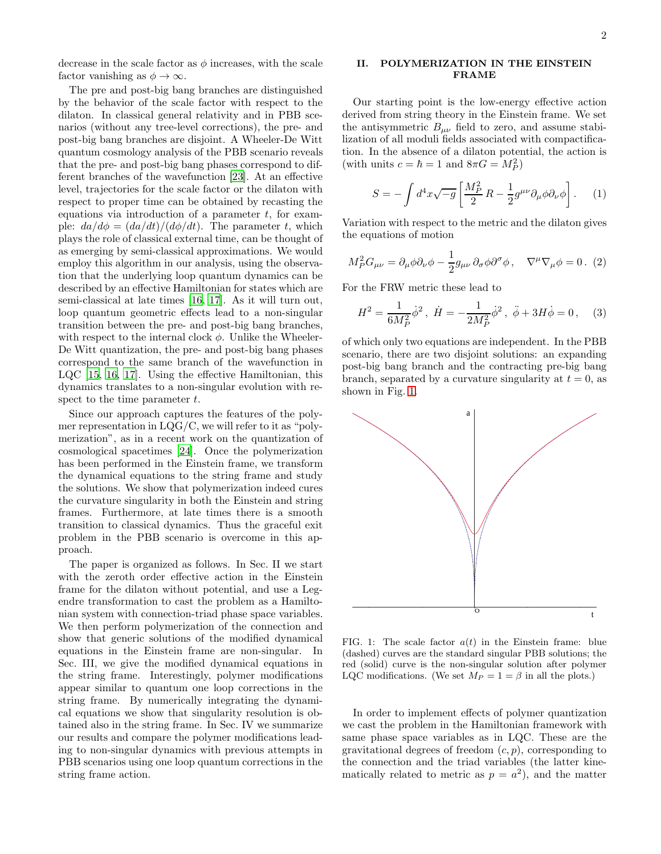decrease in the scale factor as  $\phi$  increases, with the scale factor vanishing as  $\phi \to \infty$ .

The pre and post-big bang branches are distinguished by the behavior of the scale factor with respect to the dilaton. In classical general relativity and in PBB scenarios (without any tree-level corrections), the pre- and post-big bang branches are disjoint. A Wheeler-De Witt quantum cosmology analysis of the PBB scenario reveals that the pre- and post-big bang phases correspond to different branches of the wavefunction [\[23](#page-7-22)]. At an effective level, trajectories for the scale factor or the dilaton with respect to proper time can be obtained by recasting the equations via introduction of a parameter  $t$ , for example:  $da/d\phi = (da/dt)/(d\phi/dt)$ . The parameter t, which plays the role of classical external time, can be thought of as emerging by semi-classical approximations. We would employ this algorithm in our analysis, using the observation that the underlying loop quantum dynamics can be described by an effective Hamiltonian for states which are semi-classical at late times [\[16](#page-7-15), [17\]](#page-7-16). As it will turn out, loop quantum geometric effects lead to a non-singular transition between the pre- and post-big bang branches, with respect to the internal clock  $\phi$ . Unlike the Wheeler-De Witt quantization, the pre- and post-big bang phases correspond to the same branch of the wavefunction in LQC [\[15,](#page-7-14) [16,](#page-7-15) [17](#page-7-16)]. Using the effective Hamiltonian, this dynamics translates to a non-singular evolution with respect to the time parameter  $t$ .

Since our approach captures the features of the polymer representation in LQG/C, we will refer to it as "polymerization", as in a recent work on the quantization of cosmological spacetimes [\[24\]](#page-7-23). Once the polymerization has been performed in the Einstein frame, we transform the dynamical equations to the string frame and study the solutions. We show that polymerization indeed cures the curvature singularity in both the Einstein and string frames. Furthermore, at late times there is a smooth transition to classical dynamics. Thus the graceful exit problem in the PBB scenario is overcome in this approach.

The paper is organized as follows. In Sec. II we start with the zeroth order effective action in the Einstein frame for the dilaton without potential, and use a Legendre transformation to cast the problem as a Hamiltonian system with connection-triad phase space variables. We then perform polymerization of the connection and show that generic solutions of the modified dynamical equations in the Einstein frame are non-singular. In Sec. III, we give the modified dynamical equations in the string frame. Interestingly, polymer modifications appear similar to quantum one loop corrections in the string frame. By numerically integrating the dynamical equations we show that singularity resolution is obtained also in the string frame. In Sec. IV we summarize our results and compare the polymer modifications leading to non-singular dynamics with previous attempts in PBB scenarios using one loop quantum corrections in the string frame action.

### II. POLYMERIZATION IN THE EINSTEIN FRAME

Our starting point is the low-energy effective action derived from string theory in the Einstein frame. We set the antisymmetric  $B_{\mu\nu}$  field to zero, and assume stabilization of all moduli fields associated with compactification. In the absence of a dilaton potential, the action is (with units  $c = \hbar = 1$  and  $8\pi G = M_P^2$ )

<span id="page-2-1"></span>
$$
S = -\int d^4x \sqrt{-g} \left[ \frac{M_P^2}{2} R - \frac{1}{2} g^{\mu\nu} \partial_\mu \phi \partial_\nu \phi \right]. \tag{1}
$$

Variation with respect to the metric and the dilaton gives the equations of motion

$$
M_P^2 G_{\mu\nu} = \partial_\mu \phi \partial_\nu \phi - \frac{1}{2} g_{\mu\nu} \partial_\sigma \phi \partial^\sigma \phi \,, \quad \nabla^\mu \nabla_\mu \phi = 0 \,. \tag{2}
$$

For the FRW metric these lead to

<span id="page-2-2"></span>
$$
H^{2} = \frac{1}{6M_{P}^{2}}\dot{\phi}^{2}, \quad \dot{H} = -\frac{1}{2M_{P}^{2}}\dot{\phi}^{2}, \quad \ddot{\phi} + 3H\dot{\phi} = 0 \,, \quad (3)
$$

of which only two equations are independent. In the PBB scenario, there are two disjoint solutions: an expanding post-big bang branch and the contracting pre-big bang branch, separated by a curvature singularity at  $t = 0$ , as shown in Fig. [1.](#page-2-0)



<span id="page-2-0"></span>FIG. 1: The scale factor  $a(t)$  in the Einstein frame: blue (dashed) curves are the standard singular PBB solutions; the red (solid) curve is the non-singular solution after polymer LQC modifications. (We set  $M_P = 1 = \beta$  in all the plots.)

In order to implement effects of polymer quantization we cast the problem in the Hamiltonian framework with same phase space variables as in LQC. These are the gravitational degrees of freedom  $(c, p)$ , corresponding to the connection and the triad variables (the latter kinematically related to metric as  $p = a^2$ , and the matter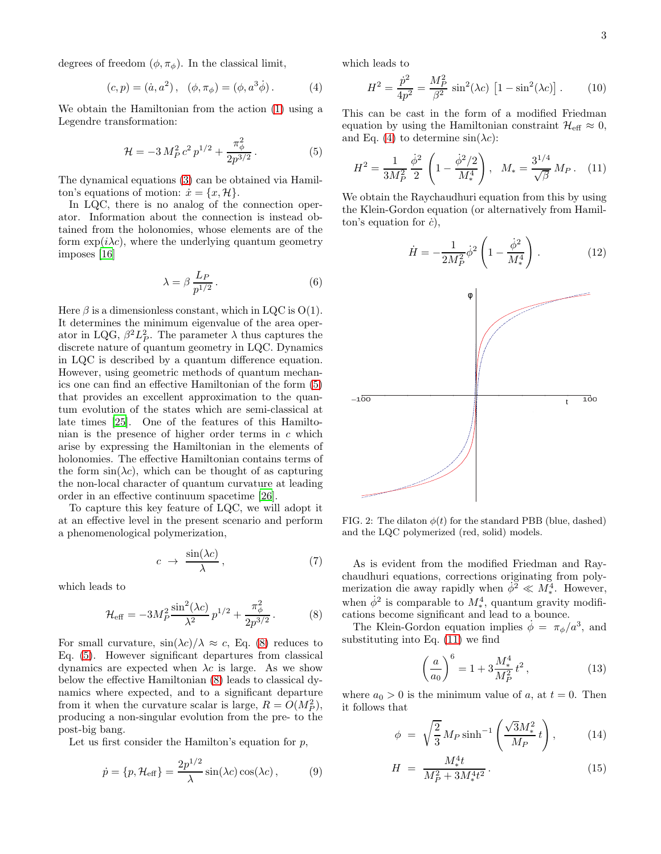degrees of freedom  $(\phi, \pi_{\phi})$ . In the classical limit,

<span id="page-3-2"></span>
$$
(c, p) = (\dot{a}, a^2), \quad (\phi, \pi_{\phi}) = (\phi, a^3 \dot{\phi}).
$$
 (4)

We obtain the Hamiltonian from the action [\(1\)](#page-2-1) using a Legendre transformation:

<span id="page-3-0"></span>
$$
\mathcal{H} = -3 M_P^2 c^2 p^{1/2} + \frac{\pi_\phi^2}{2p^{3/2}}.
$$
 (5)

The dynamical equations [\(3\)](#page-2-2) can be obtained via Hamilton's equations of motion:  $\dot{x} = \{x, \mathcal{H}\}.$ 

In LQC, there is no analog of the connection operator. Information about the connection is instead obtained from the holonomies, whose elements are of the form  $\exp(i\lambda c)$ , where the underlying quantum geometry imposes [\[16](#page-7-15)]

<span id="page-3-7"></span>
$$
\lambda = \beta \, \frac{L_P}{p^{1/2}} \,. \tag{6}
$$

Here  $\beta$  is a dimensionless constant, which in LQC is  $O(1)$ . It determines the minimum eigenvalue of the area operator in LQG,  $\beta^2 L_P^2$ . The parameter  $\lambda$  thus captures the discrete nature of quantum geometry in LQC. Dynamics in LQC is described by a quantum difference equation. However, using geometric methods of quantum mechanics one can find an effective Hamiltonian of the form [\(5\)](#page-3-0) that provides an excellent approximation to the quantum evolution of the states which are semi-classical at late times [\[25\]](#page-7-24). One of the features of this Hamiltonian is the presence of higher order terms in c which arise by expressing the Hamiltonian in the elements of holonomies. The effective Hamiltonian contains terms of the form  $\sin(\lambda c)$ , which can be thought of as capturing the non-local character of quantum curvature at leading order in an effective continuum spacetime [\[26\]](#page-7-25).

To capture this key feature of LQC, we will adopt it at an effective level in the present scenario and perform a phenomenological polymerization,

<span id="page-3-5"></span>
$$
c \rightarrow \frac{\sin(\lambda c)}{\lambda}, \qquad (7)
$$

which leads to

<span id="page-3-1"></span>
$$
\mathcal{H}_{\text{eff}} = -3M_P^2 \frac{\sin^2(\lambda c)}{\lambda^2} p^{1/2} + \frac{\pi_\phi^2}{2p^{3/2}}.
$$
 (8)

For small curvature,  $\sin(\lambda c)/\lambda \approx c$ , Eq. [\(8\)](#page-3-1) reduces to Eq. [\(5\)](#page-3-0). However significant departures from classical dynamics are expected when  $\lambda c$  is large. As we show below the effective Hamiltonian [\(8\)](#page-3-1) leads to classical dynamics where expected, and to a significant departure from it when the curvature scalar is large,  $R = O(M_P^2)$ , producing a non-singular evolution from the pre- to the post-big bang.

Let us first consider the Hamilton's equation for  $p$ ,

$$
\dot{p} = \{p, \mathcal{H}_{\text{eff}}\} = \frac{2p^{1/2}}{\lambda} \sin(\lambda c) \cos(\lambda c) ,\qquad (9)
$$

which leads to

<span id="page-3-6"></span>
$$
H^{2} = \frac{\dot{p}^{2}}{4p^{2}} = \frac{M_{P}^{2}}{\beta^{2}} \sin^{2}(\lambda c) \left[1 - \sin^{2}(\lambda c)\right].
$$
 (10)

This can be cast in the form of a modified Friedman equation by using the Hamiltonian constraint  $\mathcal{H}_{\text{eff}} \approx 0$ , and Eq. [\(4\)](#page-3-2) to determine  $sin(\lambda c)$ :

<span id="page-3-3"></span>
$$
H^{2} = \frac{1}{3M_{P}^{2}} \frac{\dot{\phi}^{2}}{2} \left( 1 - \frac{\dot{\phi}^{2}/2}{M_{*}^{4}} \right), \quad M_{*} = \frac{3^{1/4}}{\sqrt{\beta}} M_{P} \,. \tag{11}
$$

We obtain the Raychaudhuri equation from this by using the Klein-Gordon equation (or alternatively from Hamilton's equation for  $\dot{c}$ ),

$$
\dot{H} = -\frac{1}{2M_P^2} \dot{\phi}^2 \left( 1 - \frac{\dot{\phi}^2}{M_*^4} \right) . \tag{12}
$$



<span id="page-3-4"></span>FIG. 2: The dilaton  $\phi(t)$  for the standard PBB (blue, dashed) and the LQC polymerized (red, solid) models.

As is evident from the modified Friedman and Raychaudhuri equations, corrections originating from polymerization die away rapidly when  $\phi^2 \ll M_*^4$ . However, when  $\dot{\phi}^2$  is comparable to  $M_*^4$ , quantum gravity modifications become significant and lead to a bounce.

The Klein-Gordon equation implies  $\dot{\phi} = \pi_{\phi}/a^3$ , and substituting into Eq. [\(11\)](#page-3-3) we find

$$
\left(\frac{a}{a_0}\right)^6 = 1 + 3\frac{M_*^4}{M_P^2}t^2\,,\tag{13}
$$

where  $a_0 > 0$  is the minimum value of a, at  $t = 0$ . Then it follows that

$$
\phi = \sqrt{\frac{2}{3}} M_P \sinh^{-1} \left( \frac{\sqrt{3} M_*^2}{M_P} t \right), \quad (14)
$$

$$
H = \frac{M_{*}^{4}t}{M_{P}^{2} + 3M_{*}^{4}t^{2}}.
$$
\n(15)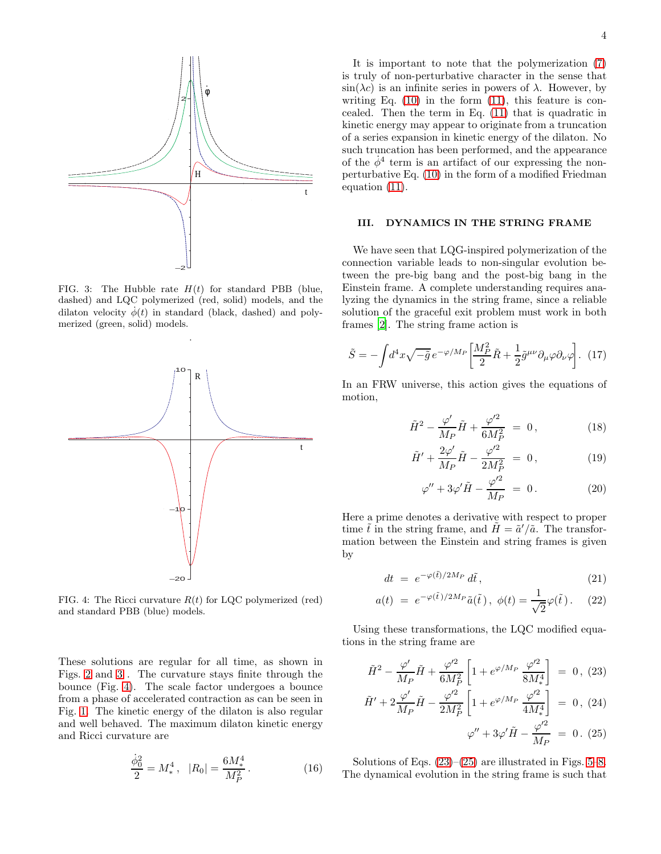

<span id="page-4-0"></span>FIG. 3: The Hubble rate  $H(t)$  for standard PBB (blue, dashed) and LQC polymerized (red, solid) models, and the dilaton velocity  $\dot{\phi}(t)$  in standard (black, dashed) and polymerized (green, solid) models.

.



<span id="page-4-1"></span>FIG. 4: The Ricci curvature  $R(t)$  for LQC polymerized (red) and standard PBB (blue) models.

These solutions are regular for all time, as shown in Figs. [2](#page-3-4) and [3](#page-4-0) . The curvature stays finite through the bounce (Fig. [4\)](#page-4-1). The scale factor undergoes a bounce from a phase of accelerated contraction as can be seen in Fig. [1.](#page-2-0) The kinetic energy of the dilaton is also regular and well behaved. The maximum dilaton kinetic energy and Ricci curvature are

$$
\frac{\dot{\phi}_0^2}{2} = M_*^4 \,, \quad |R_0| = \frac{6M_*^4}{M_P^2} \,. \tag{16}
$$

It is important to note that the polymerization [\(7\)](#page-3-5) is truly of non-perturbative character in the sense that  $\sin(\lambda c)$  is an infinite series in powers of  $\lambda$ . However, by writing Eq.  $(10)$  in the form  $(11)$ , this feature is concealed. Then the term in Eq. [\(11\)](#page-3-3) that is quadratic in kinetic energy may appear to originate from a truncation of a series expansion in kinetic energy of the dilaton. No such truncation has been performed, and the appearance of the  $\dot{\phi}^4$  term is an artifact of our expressing the nonperturbative Eq. [\(10\)](#page-3-6) in the form of a modified Friedman equation [\(11\)](#page-3-3).

## III. DYNAMICS IN THE STRING FRAME

We have seen that LQG-inspired polymerization of the connection variable leads to non-singular evolution between the pre-big bang and the post-big bang in the Einstein frame. A complete understanding requires analyzing the dynamics in the string frame, since a reliable solution of the graceful exit problem must work in both frames [\[2\]](#page-7-1). The string frame action is

$$
\tilde{S} = -\int d^4x \sqrt{-\tilde{g}} \, e^{-\varphi/M_P} \left[ \frac{M_P^2}{2} \tilde{R} + \frac{1}{2} \tilde{g}^{\mu\nu} \partial_\mu \varphi \partial_\nu \varphi \right]. \tag{17}
$$

In an FRW universe, this action gives the equations of motion,

$$
\tilde{H}^2 - \frac{\varphi'}{M_P} \tilde{H} + \frac{\varphi'^2}{6M_P^2} = 0, \qquad (18)
$$

$$
\tilde{H}' + \frac{2\varphi'}{M_P}\tilde{H} - \frac{\varphi'^2}{2M_P^2} = 0, \qquad (19)
$$

$$
\varphi'' + 3\varphi'\tilde{H} - \frac{\varphi'^2}{M_P} = 0.
$$
 (20)

Here a prime denotes a derivative with respect to proper time  $\tilde{t}$  in the string frame, and  $\tilde{H} = \tilde{a}'/\tilde{a}$ . The transformation between the Einstein and string frames is given by

$$
dt = e^{-\varphi(\tilde{t})/2M_P} d\tilde{t}, \qquad (21)
$$

$$
a(t) = e^{-\varphi(\tilde{t})/2M_P}\tilde{a}(\tilde{t}), \ \phi(t) = \frac{1}{\sqrt{2}}\varphi(\tilde{t}). \tag{22}
$$

Using these transformations, the LQC modified equations in the string frame are

<span id="page-4-2"></span>
$$
\tilde{H}^2 - \frac{\varphi'}{M_P} \tilde{H} + \frac{\varphi'^2}{6M_P^2} \left[ 1 + e^{\varphi/M_P} \frac{\varphi'^2}{8M_*^4} \right] = 0, (23)
$$
\n
$$
\tilde{H}' + 2 \frac{\varphi'}{M_P} \tilde{H} - \frac{\varphi'^2}{2M_P^2} \left[ 1 + e^{\varphi/M_P} \frac{\varphi'^2}{4M_*^4} \right] = 0, (24)
$$

$$
\varphi'' + 3\varphi' \tilde{H} - \frac{\varphi'^2}{M_P} = 0. (25)
$$

Solutions of Eqs.  $(23)$ – $(25)$  are illustrated in Figs. [5](#page-5-0)[–8.](#page-5-1) The dynamical evolution in the string frame is such that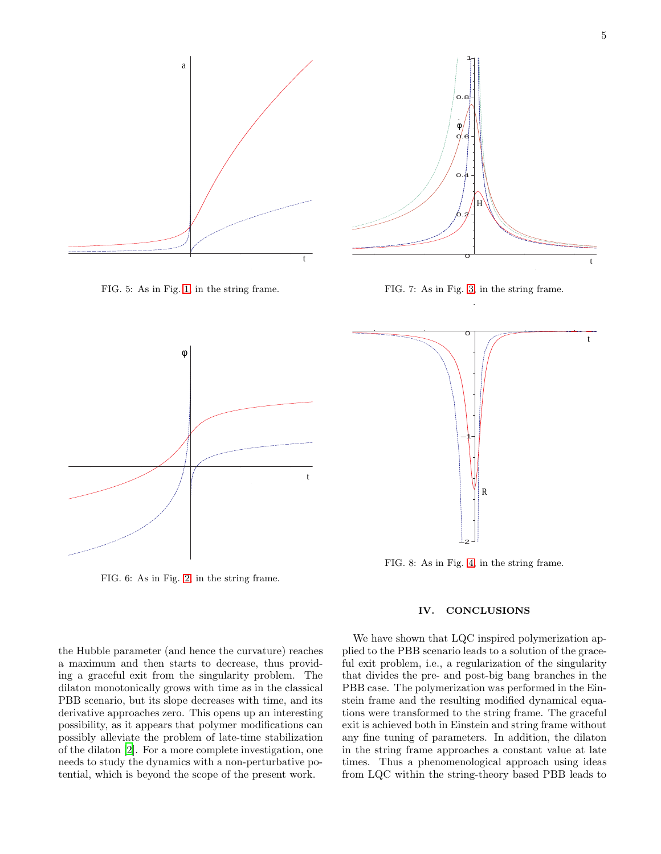

<span id="page-5-0"></span>FIG. 5: As in Fig. [1,](#page-2-0) in the string frame.



FIG. 7: As in Fig. [3,](#page-4-0) in the string frame. .



FIG. 6: As in Fig. [2,](#page-3-4) in the string frame.

the Hubble parameter (and hence the curvature) reaches a maximum and then starts to decrease, thus providing a graceful exit from the singularity problem. The dilaton monotonically grows with time as in the classical PBB scenario, but its slope decreases with time, and its derivative approaches zero. This opens up an interesting possibility, as it appears that polymer modifications can possibly alleviate the problem of late-time stabilization of the dilaton [\[2\]](#page-7-1). For a more complete investigation, one needs to study the dynamics with a non-perturbative potential, which is beyond the scope of the present work.



FIG. 8: As in Fig. [4,](#page-4-1) in the string frame.

## <span id="page-5-1"></span>IV. CONCLUSIONS

We have shown that LQC inspired polymerization applied to the PBB scenario leads to a solution of the graceful exit problem, i.e., a regularization of the singularity that divides the pre- and post-big bang branches in the PBB case. The polymerization was performed in the Einstein frame and the resulting modified dynamical equations were transformed to the string frame. The graceful exit is achieved both in Einstein and string frame without any fine tuning of parameters. In addition, the dilaton in the string frame approaches a constant value at late times. Thus a phenomenological approach using ideas from LQC within the string-theory based PBB leads to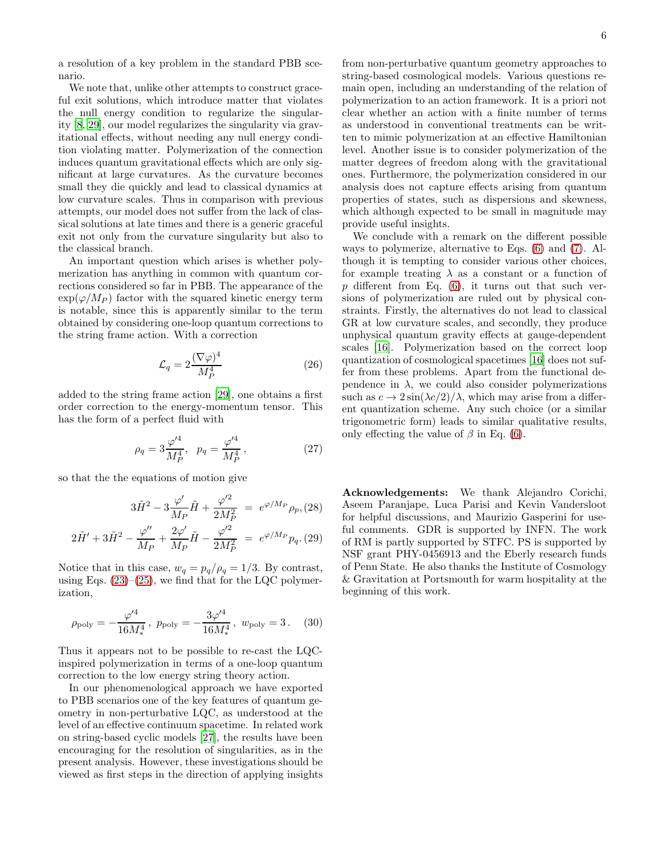We note that, unlike other attempts to construct graceful exit solutions, which introduce matter that violates the null energy condition to regularize the singularity [\[8](#page-7-7), [29\]](#page-7-26), our model regularizes the singularity via gravitational effects, without needing any null energy condition violating matter. Polymerization of the connection induces quantum gravitational effects which are only significant at large curvatures. As the curvature becomes small they die quickly and lead to classical dynamics at low curvature scales. Thus in comparison with previous attempts, our model does not suffer from the lack of classical solutions at late times and there is a generic graceful exit not only from the curvature singularity but also to the classical branch.

An important question which arises is whether polymerization has anything in common with quantum corrections considered so far in PBB. The appearance of the  $\exp(\varphi/M_P)$  factor with the squared kinetic energy term is notable, since this is apparently similar to the term obtained by considering one-loop quantum corrections to the string frame action. With a correction

$$
\mathcal{L}_q = 2 \frac{(\nabla \varphi)^4}{M_P^4} \tag{26}
$$

added to the string frame action [\[29\]](#page-7-26), one obtains a first order correction to the energy-momentum tensor. This has the form of a perfect fluid with

$$
\rho_q = 3 \frac{\varphi'^4}{M_P^4}, \quad p_q = \frac{\varphi'^4}{M_P^4}, \tag{27}
$$

so that the the equations of motion give

$$
3\tilde{H}^2 - 3\frac{\varphi'}{M_P}\tilde{H} + \frac{\varphi'^2}{2M_P^2} \;=\; e^{\varphi/M_P}\rho_p, (28)
$$

$$
2\tilde{H}' + 3\tilde{H}^2 - \frac{\varphi''}{M_P} + \frac{2\varphi'}{M_P}\tilde{H} - \frac{\varphi'^2}{2M_P^2} = e^{\varphi/M_P}p_q. (29)
$$

Notice that in this case,  $w_q = p_q/\rho_q = 1/3$ . By contrast, using Eqs.  $(23)$ – $(25)$ , we find that for the LQC polymerization,

$$
\rho_{\rm poly} = -\frac{\varphi'^4}{16M_*^4}, \ p_{\rm poly} = -\frac{3\varphi'^4}{16M_*^4}, \ w_{\rm poly} = 3. \quad (30)
$$

Thus it appears not to be possible to re-cast the LQCinspired polymerization in terms of a one-loop quantum correction to the low energy string theory action.

In our phenomenological approach we have exported to PBB scenarios one of the key features of quantum geometry in non-perturbative LQC, as understood at the level of an effective continuum spacetime. In related work on string-based cyclic models [\[27\]](#page-7-27), the results have been encouraging for the resolution of singularities, as in the present analysis. However, these investigations should be viewed as first steps in the direction of applying insights

from non-perturbative quantum geometry approaches to string-based cosmological models. Various questions remain open, including an understanding of the relation of polymerization to an action framework. It is a priori not clear whether an action with a finite number of terms as understood in conventional treatments can be written to mimic polymerization at an effective Hamiltonian level. Another issue is to consider polymerization of the matter degrees of freedom along with the gravitational ones. Furthermore, the polymerization considered in our analysis does not capture effects arising from quantum properties of states, such as dispersions and skewness, which although expected to be small in magnitude may provide useful insights.

We conclude with a remark on the different possible ways to polymerize, alternative to Eqs. [\(6\)](#page-3-7) and [\(7\)](#page-3-5). Although it is tempting to consider various other choices, for example treating  $\lambda$  as a constant or a function of p different from Eq.  $(6)$ , it turns out that such versions of polymerization are ruled out by physical constraints. Firstly, the alternatives do not lead to classical GR at low curvature scales, and secondly, they produce unphysical quantum gravity effects at gauge-dependent scales [\[16](#page-7-15)]. Polymerization based on the correct loop quantization of cosmological spacetimes [\[16\]](#page-7-15) does not suffer from these problems. Apart from the functional dependence in  $\lambda$ , we could also consider polymerizations such as  $c \to 2 \sin(\lambda c/2)/\lambda$ , which may arise from a different quantization scheme. Any such choice (or a similar trigonometric form) leads to similar qualitative results, only effecting the value of  $\beta$  in Eq. [\(6\)](#page-3-7).

Acknowledgements: We thank Alejandro Corichi, Aseem Paranjape, Luca Parisi and Kevin Vandersloot for helpful discussions, and Maurizio Gasperini for useful comments. GDR is supported by INFN. The work of RM is partly supported by STFC. PS is supported by NSF grant PHY-0456913 and the Eberly research funds of Penn State. He also thanks the Institute of Cosmology & Gravitation at Portsmouth for warm hospitality at the beginning of this work.